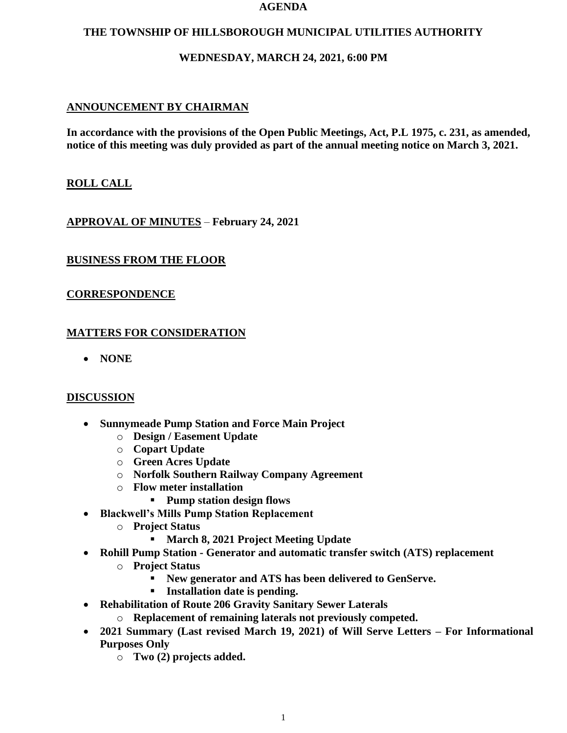#### **AGENDA**

#### **THE TOWNSHIP OF HILLSBOROUGH MUNICIPAL UTILITIES AUTHORITY**

## **WEDNESDAY, MARCH 24, 2021, 6:00 PM**

# **ANNOUNCEMENT BY CHAIRMAN**

**In accordance with the provisions of the Open Public Meetings, Act, P.L 1975, c. 231, as amended, notice of this meeting was duly provided as part of the annual meeting notice on March 3, 2021.**

# **ROLL CALL**

**APPROVAL OF MINUTES** – **February 24, 2021**

# **BUSINESS FROM THE FLOOR**

## **CORRESPONDENCE**

# **MATTERS FOR CONSIDERATION**

• **NONE**

## **DISCUSSION**

- **Sunnymeade Pump Station and Force Main Project**
	- o **Design / Easement Update**
	- o **Copart Update**
	- o **Green Acres Update**
	- o **Norfolk Southern Railway Company Agreement**
	- o **Flow meter installation**
		- **Pump station design flows**
- **Blackwell's Mills Pump Station Replacement**
	- o **Project Status**
		- **March 8, 2021 Project Meeting Update**
- **Rohill Pump Station - Generator and automatic transfer switch (ATS) replacement**
	- o **Project Status**
		- **New generator and ATS has been delivered to GenServe.**
			- **Installation date is pending.**
- **Rehabilitation of Route 206 Gravity Sanitary Sewer Laterals**
	- o **Replacement of remaining laterals not previously competed.**
- **2021 Summary (Last revised March 19, 2021) of Will Serve Letters – For Informational Purposes Only**
	- o **Two (2) projects added.**